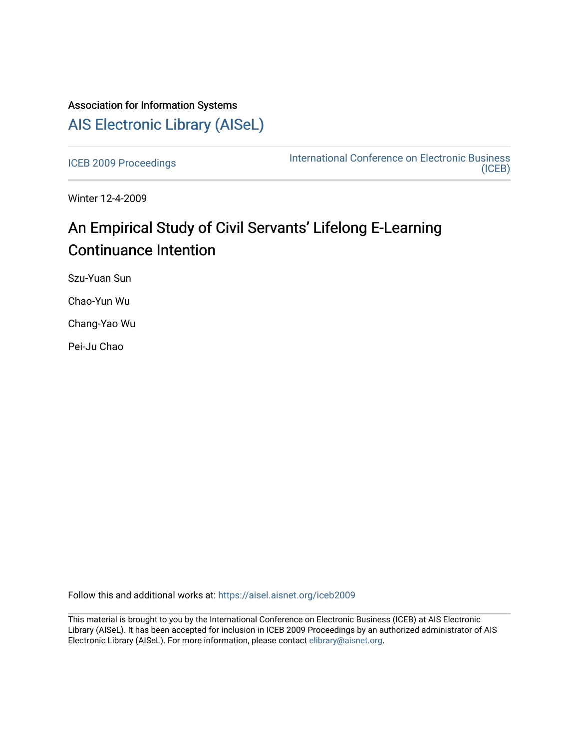## Association for Information Systems [AIS Electronic Library \(AISeL\)](https://aisel.aisnet.org/)

[ICEB 2009 Proceedings](https://aisel.aisnet.org/iceb2009) **International Conference on Electronic Business** [\(ICEB\)](https://aisel.aisnet.org/iceb) 

Winter 12-4-2009

# An Empirical Study of Civil Servants' Lifelong E-Learning Continuance Intention

Szu-Yuan Sun

Chao-Yun Wu

Chang-Yao Wu

Pei-Ju Chao

Follow this and additional works at: [https://aisel.aisnet.org/iceb2009](https://aisel.aisnet.org/iceb2009?utm_source=aisel.aisnet.org%2Ficeb2009%2F64&utm_medium=PDF&utm_campaign=PDFCoverPages)

This material is brought to you by the International Conference on Electronic Business (ICEB) at AIS Electronic Library (AISeL). It has been accepted for inclusion in ICEB 2009 Proceedings by an authorized administrator of AIS Electronic Library (AISeL). For more information, please contact [elibrary@aisnet.org.](mailto:elibrary@aisnet.org%3E)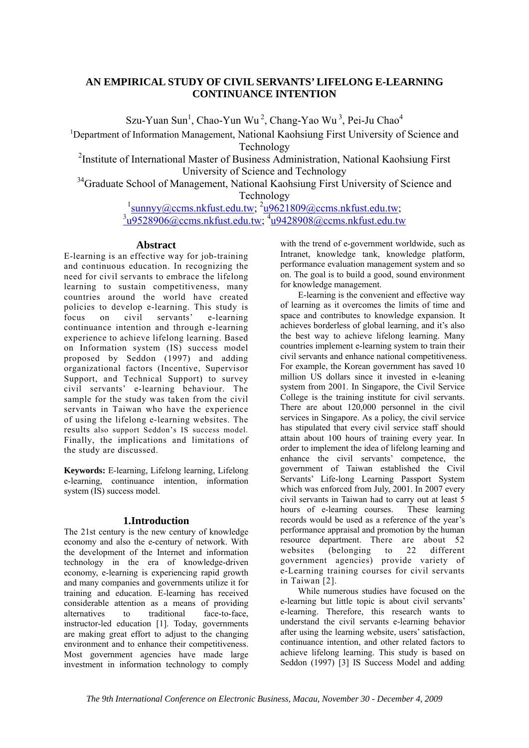## **AN EMPIRICAL STUDY OF CIVIL SERVANTS' LIFELONG E-LEARNING CONTINUANCE INTENTION**

Szu-Yuan Sun<sup>1</sup>, Chao-Yun Wu<sup>2</sup>, Chang-Yao Wu<sup>3</sup>, Pei-Ju Chao<sup>4</sup>

<sup>1</sup>Department of Information Management, National Kaohsiung First University of Science and Technology

2 Institute of International Master of Business Administration, National Kaohsiung First University of Science and Technology

<sup>34</sup>Graduate School of Management, National Kaohsiung First University of Science and Technology

> $\frac{1}{3}$ sunnyy@ccms.nkfust.edu.tw;  $\frac{2 \times 9621809}{\omega}$ ccms.nkfust.edu.tw;  $\frac{3}{19528906}$ @ccms.nkfust.edu.tw;  $\frac{4}{19428908}$ @ccms.nkfust.edu.tw

## **Abstract**

E-learning is an effective way for job-training and continuous education. In recognizing the need for civil servants to embrace the lifelong learning to sustain competitiveness, many countries around the world have created policies to develop e-learning. This study is focus on civil servants' e-learning continuance intention and through e-learning experience to achieve lifelong learning. Based on Information system (IS) success model proposed by Seddon (1997) and adding organizational factors (Incentive, Supervisor Support, and Technical Support) to survey civil servants' e-learning behaviour. The sample for the study was taken from the civil servants in Taiwan who have the experience of using the lifelong e-learning websites. The results also support Seddon's IS success model. Finally, the implications and limitations of the study are discussed.

**Keywords:** E-learning, Lifelong learning, Lifelong e-learning, continuance intention, information system (IS) success model.

## **1.Introduction**

The 21st century is the new century of knowledge economy and also the e-century of network. With the development of the Internet and information technology in the era of knowledge-driven economy, e-learning is experiencing rapid growth and many companies and governments utilize it for training and education. E-learning has received considerable attention as a means of providing alternatives to traditional face-to-face, instructor-led education [1]. Today, governments are making great effort to adjust to the changing environment and to enhance their competitiveness. Most government agencies have made large investment in information technology to comply

with the trend of e-government worldwide, such as Intranet, knowledge tank, knowledge platform, performance evaluation management system and so on. The goal is to build a good, sound environment for knowledge management.

E-learning is the convenient and effective way of learning as it overcomes the limits of time and space and contributes to knowledge expansion. It achieves borderless of global learning, and it's also the best way to achieve lifelong learning. Many countries implement e-learning system to train their civil servants and enhance national competitiveness. For example, the Korean government has saved 10 million US dollars since it invested in e-leaning system from 2001. In Singapore, the Civil Service College is the training institute for civil servants. There are about 120,000 personnel in the civil services in Singapore. As a policy, the civil service has stipulated that every civil service staff should attain about 100 hours of training every year. In order to implement the idea of lifelong learning and enhance the civil servants' competence, the government of Taiwan established the Civil Servants' Life-long Learning Passport System which was enforced from July, 2001. In 2007 every civil servants in Taiwan had to carry out at least 5 hours of e-learning courses. These learning records would be used as a reference of the year's performance appraisal and promotion by the human resource department. There are about 52 websites (belonging to 22 different government agencies) provide variety of e-Learning training courses for civil servants in Taiwan [2].

While numerous studies have focused on the e-learning but little topic is about civil servants' e-learning. Therefore, this research wants to understand the civil servants e-learning behavior after using the learning website, users' satisfaction, continuance intention, and other related factors to achieve lifelong learning. This study is based on Seddon (1997) [3] IS Success Model and adding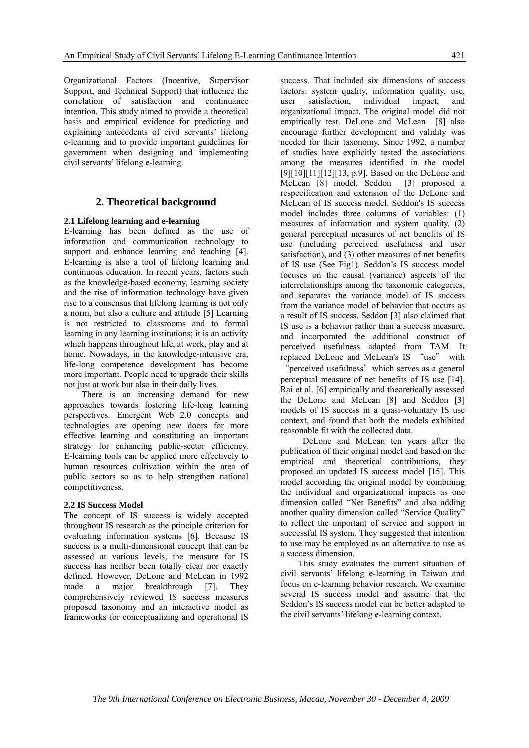Organizational Factors (Incentive, Supervisor Support, and Technical Support) that influence the correlation of satisfaction and continuance intention. This study aimed to provide a theoretical basis and empirical evidence for predicting and explaining antecedents of civil servants' lifelong e-learning and to provide important guidelines for government when designing and implementing civil servants' lifelong e-learning.

## **2. Theoretical background**

## **2.1 Lifelong learning and e-learning**

E-learning has been defined as the use of information and communication technology to support and enhance learning and teaching [4]. E-learning is also a tool of lifelong learning and continuous education. In recent years, factors such as the knowledge-based economy, learning society and the rise of information technology have given rise to a consensus that lifelong learning is not only a norm, but also a culture and attitude [5] Learning is not restricted to classrooms and to formal learning in any learning institutions; it is an activity which happens throughout life, at work, play and at home. Nowadays, in the knowledge-intensive era, life-long competence development has become more important. People need to upgrade their skills not just at work but also in their daily lives.

There is an increasing demand for new approaches towards fostering life-long learning perspectives. Emergent Web 2.0 concepts and technologies are opening new doors for more effective learning and constituting an important strategy for enhancing public-sector efficiency. E-learning tools can be applied more effectively to human resources cultivation within the area of public sectors so as to help strengthen national competitiveness.

#### **2.2 IS Success Model**

The concept of IS success is widely accepted throughout IS research as the principle criterion for evaluating information systems [6]. Because IS success is a multi-dimensional concept that can be assessed at various levels, the measure for IS success has neither been totally clear nor exactly defined. However, DeLone and McLean in 1992 made a major breakthrough [7]. They comprehensively reviewed IS success measures proposed taxonomy and an interactive model as frameworks for conceptualizing and operational IS

success. That included six dimensions of success factors: system quality, information quality, use, user satisfaction, individual impact, and organizational impact. The original model did not empirically test. DeLone and McLean [8] also encourage further development and validity was needed for their taxonomy. Since 1992, a number of studies have explicitly tested the associations among the measures identified in the model [9][10][11][12][13, p.9]. Based on the DeLone and McLean [8] model, Seddon [3] proposed a respecification and extension of the DeLone and McLean of IS success model. Seddon's IS success model includes three columns of variables: (1) measures of information and system quality, (2) general perceptual measures of net benefits of IS use (including perceived usefulness and user satisfaction), and (3) other measures of net benefits of IS use (See Fig1). Seddon's IS success model focuses on the causal (variance) aspects of the interrelationships among the taxonomic categories, and separates the variance model of IS success from the variance model of behavior that occurs as a result of IS success. Seddon [3] also claimed that IS use is a behavior rather than a success measure, and incorporated the additional construct of perceived usefulness adapted from TAM. It replaced DeLone and McLean's IS "use" with

"perceived usefulness" which serves as a general perceptual measure of net benefits of IS use [14]. Rai et al. [6] empirically and theoretically assessed the DeLone and McLean [8] and Seddon [3] models of IS success in a quasi-voluntary IS use context, and found that both the models exhibited reasonable fit with the collected data.

 DeLone and McLean ten years after the publication of their original model and based on the empirical and theoretical contributions, they proposed an updated IS success model [15]. This model according the original model by combining the individual and organizational impacts as one dimension called "Net Benefits" and also adding another quality dimension called "Service Quality" to reflect the important of service and support in successful IS system. They suggested that intention to use may be employed as an alternative to use as a success dimension.

This study evaluates the current situation of civil servants' lifelong e-learning in Taiwan and focus on e-learning behavior research. We examine several IS success model and assume that the Seddon's IS success model can be better adapted to the civil servants' lifelong e-learning context.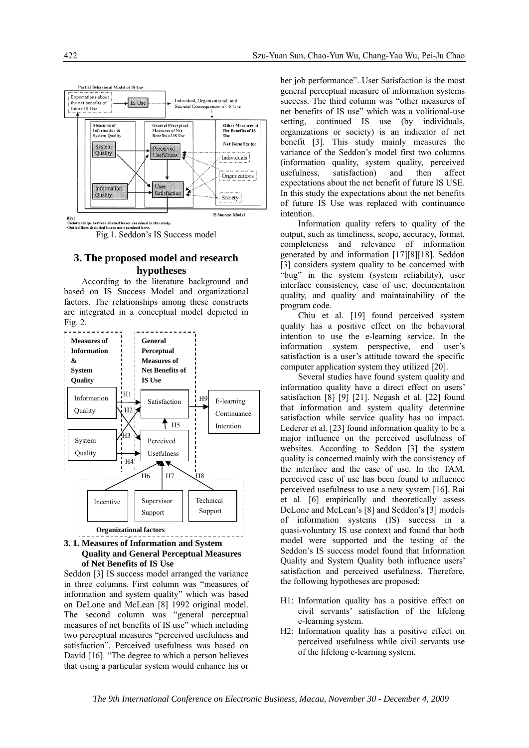

## **3. The proposed model and research hypotheses**

According to the literature background and based on IS Success Model and organizational factors. The relationships among these constructs are integrated in a conceptual model depicted in Fig. 2.



## **Quality and General Perceptual Measures of Net Benefits of IS Use**

Seddon [3] IS success model arranged the variance in three columns. First column was "measures of information and system quality" which was based on DeLone and McLean [8] 1992 original model. The second column was "general perceptual measures of net benefits of IS use" which including two perceptual measures "perceived usefulness and satisfaction". Perceived usefulness was based on David [16]. "The degree to which a person believes that using a particular system would enhance his or

her job performance". User Satisfaction is the most general perceptual measure of information systems success. The third column was "other measures of net benefits of IS use" which was a volitional-use setting, continued IS use (by individuals, organizations or society) is an indicator of net benefit [3]. This study mainly measures the variance of the Seddon's model first two columns (information quality, system quality, perceived usefulness, satisfaction) and then affect expectations about the net benefit of future IS USE. In this study the expectations about the net benefits of future IS Use was replaced with continuance intention.

Information quality refers to quality of the output, such as timeliness, scope, accuracy, format, completeness and relevance of information generated by and information [17][8][18]. Seddon [3] considers system quality to be concerned with "bug" in the system (system reliability), user interface consistency, ease of use, documentation quality, and quality and maintainability of the program code.

Chiu et al. [19] found perceived system quality has a positive effect on the behavioral intention to use the e-learning service. In the information system perspective, end user's satisfaction is a user's attitude toward the specific computer application system they utilized [20].

Several studies have found system quality and information quality have a direct effect on users' satisfaction [8] [9] [21]. Negash et al. [22] found that information and system quality determine satisfaction while service quality has no impact. Lederer et al. [23] found information quality to be a major influence on the perceived usefulness of websites. According to Seddon [3] the system quality is concerned mainly with the consistency of the interface and the ease of use. In the TAM, perceived ease of use has been found to influence perceived usefulness to use a new system [16]. Rai et al. [6] empirically and theoretically assess DeLone and McLean's [8] and Seddon's [3] models of information systems (IS) success in a quasi-voluntary IS use context and found that both model were supported and the testing of the Seddon's IS success model found that Information Quality and System Quality both influence users' satisfaction and perceived usefulness. Therefore, the following hypotheses are proposed:

- H1: Information quality has a positive effect on civil servants' satisfaction of the lifelong e-learning system.
- H2: Information quality has a positive effect on perceived usefulness while civil servants use of the lifelong e-learning system.

*The 9th International Conference on Electronic Business, Macau, November 30 - December 4, 2009*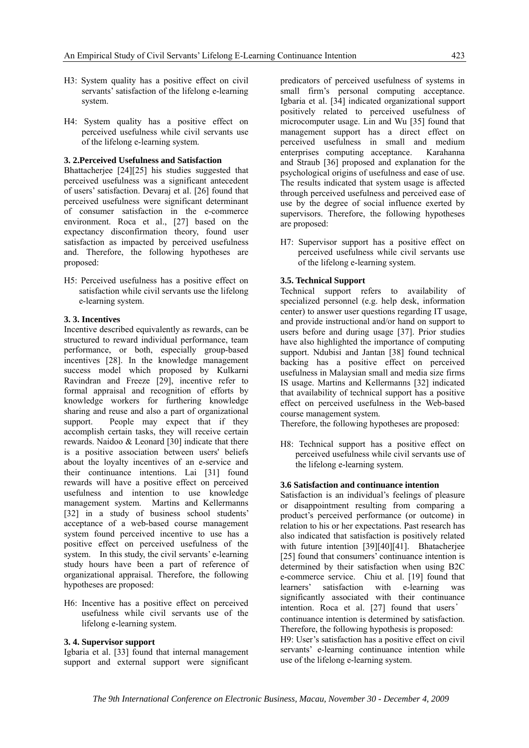- H3: System quality has a positive effect on civil servants' satisfaction of the lifelong e-learning system.
- H4: System quality has a positive effect on perceived usefulness while civil servants use of the lifelong e-learning system.

#### **3. 2.Perceived Usefulness and Satisfaction**

Bhattacherjee [24][25] his studies suggested that perceived usefulness was a significant antecedent of users' satisfaction. Devaraj et al. [26] found that perceived usefulness were significant determinant of consumer satisfaction in the e-commerce environment. Roca et al., [27] based on the expectancy disconfirmation theory, found user satisfaction as impacted by perceived usefulness and. Therefore, the following hypotheses are proposed:

H5: Perceived usefulness has a positive effect on satisfaction while civil servants use the lifelong e-learning system.

## **3. 3. Incentives**

Incentive described equivalently as rewards, can be structured to reward individual performance, team performance, or both, especially group-based incentives [28]. In the knowledge management success model which proposed by Kulkarni Ravindran and Freeze [29], incentive refer to formal appraisal and recognition of efforts by knowledge workers for furthering knowledge sharing and reuse and also a part of organizational support. People may expect that if they accomplish certain tasks, they will receive certain rewards. Naidoo & Leonard [30] indicate that there is a positive association between users' beliefs about the loyalty incentives of an e-service and their continuance intentions. Lai [31] found rewards will have a positive effect on perceived usefulness and intention to use knowledge management system. Martins and Kellermanns [32] in a study of business school students' acceptance of a web-based course management system found perceived incentive to use has a positive effect on perceived usefulness of the system. In this study, the civil servants' e-learning study hours have been a part of reference of organizational appraisal. Therefore, the following hypotheses are proposed:

H6: Incentive has a positive effect on perceived usefulness while civil servants use of the lifelong e-learning system.

## **3. 4. Supervisor support**

Igbaria et al. [33] found that internal management support and external support were significant predicators of perceived usefulness of systems in small firm's personal computing acceptance. Igbaria et al. [34] indicated organizational support positively related to perceived usefulness of microcomputer usage. Lin and Wu [35] found that management support has a direct effect on perceived usefulness in small and medium enterprises computing acceptance. Karahanna and Straub [36] proposed and explanation for the psychological origins of usefulness and ease of use. The results indicated that system usage is affected through perceived usefulness and perceived ease of use by the degree of social influence exerted by supervisors. Therefore, the following hypotheses are proposed:

H7: Supervisor support has a positive effect on perceived usefulness while civil servants use of the lifelong e-learning system.

#### **3.5. Technical Support**

Technical support refers to availability of specialized personnel (e.g. help desk, information center) to answer user questions regarding IT usage, and provide instructional and/or hand on support to users before and during usage [37]. Prior studies have also highlighted the importance of computing support. Ndubisi and Jantan [38] found technical backing has a positive effect on perceived usefulness in Malaysian small and media size firms IS usage. Martins and Kellermanns [32] indicated that availability of technical support has a positive effect on perceived usefulness in the Web-based course management system.

Therefore, the following hypotheses are proposed:

H8: Technical support has a positive effect on perceived usefulness while civil servants use of the lifelong e-learning system.

#### **3.6 Satisfaction and continuance intention**

Satisfaction is an individual's feelings of pleasure or disappointment resulting from comparing a product's perceived performance (or outcome) in relation to his or her expectations. Past research has also indicated that satisfaction is positively related with future intention [39][40][41]. Bhatacherjee [25] found that consumers' continuance intention is determined by their satisfaction when using B2C e-commerce service. Chiu et al. [19] found that learners' satisfaction with e-learning was significantly associated with their continuance intention. Roca et al. [27] found that users' continuance intention is determined by satisfaction. Therefore, the following hypothesis is proposed: H9: User's satisfaction has a positive effect on civil servants' e-learning continuance intention while use of the lifelong e-learning system.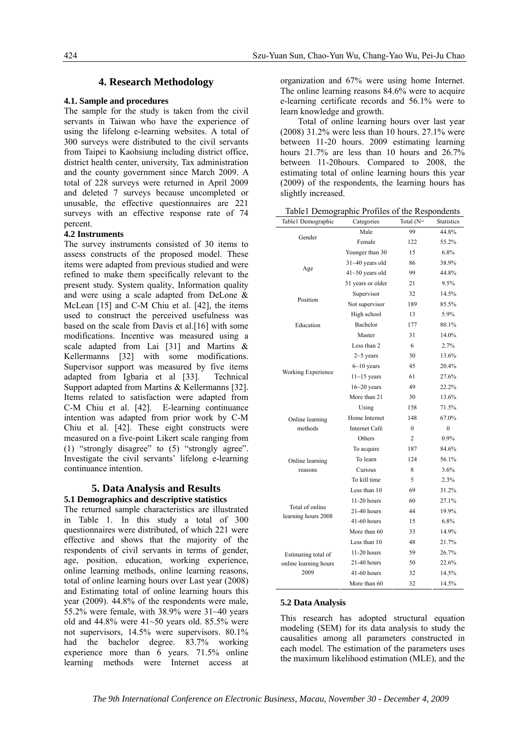## **4. Research Methodology**

## **4.1. Sample and procedures**

The sample for the study is taken from the civil servants in Taiwan who have the experience of using the lifelong e-learning websites. A total of 300 surveys were distributed to the civil servants from Taipei to Kaohsiung including district office, district health center, university, Tax administration and the county government since March 2009. A total of 228 surveys were returned in April 2009 and deleted 7 surveys because uncompleted or unusable, the effective questionnaires are 221 surveys with an effective response rate of 74 percent.

#### **4.2 Instruments**

The survey instruments consisted of 30 items to assess constructs of the proposed model. These items were adapted from previous studied and were refined to make them specifically relevant to the present study. System quality, Information quality and were using a scale adapted from DeLone & McLean [15] and C-M Chiu et al. [42], the items used to construct the perceived usefulness was based on the scale from Davis et al.[16] with some modifications. Incentive was measured using a scale adapted from Lai [31] and Martins & Kellermanns [32] with some modifications. Supervisor support was measured by five items adapted from Igbaria et al [33]. Technical Support adapted from Martins & Kellermanns [32]. Items related to satisfaction were adapted from C-M Chiu et al. [42]. E-learning continuance intention was adapted from prior work by C-M Chiu et al. [42]. These eight constructs were measured on a five-point Likert scale ranging from (1) "strongly disagree" to (5) "strongly agree". Investigate the civil servants' lifelong e-learning continuance intention.

#### **5. Data Analysis and Results**

## **5.1 Demographics and descriptive statistics**

The returned sample characteristics are illustrated in Table 1. In this study a total of 300 questionnaires were distributed, of which 221 were effective and shows that the majority of the respondents of civil servants in terms of gender, age, position, education, working experience, online learning methods, online learning reasons, total of online learning hours over Last year (2008) and Estimating total of online learning hours this year (2009). 44.8% of the respondents were male, 55.2% were female, with 38.9% were 31~40 years old and  $44.8\%$  were  $41~50$  years old. 85.5% were not supervisors, 14.5% were supervisors. 80.1% had the bachelor degree. 83.7% working experience more than 6 years. 71.5% online learning methods were Internet access at organization and 67% were using home Internet. The online learning reasons 84.6% were to acquire e-learning certificate records and 56.1% were to learn knowledge and growth.

Total of online learning hours over last year (2008) 31.2% were less than 10 hours. 27.1% were between 11-20 hours. 2009 estimating learning hours 21.7% are less than 10 hours and 26.7% between 11-20hours. Compared to 2008, the estimating total of online learning hours this year (2009) of the respondents, the learning hours has slightly increased.

Table1 Demographic Profiles of the Respondents

| Table1 Demographic<br>Categories |                     | Total (N=    | <b>Statistics</b> |
|----------------------------------|---------------------|--------------|-------------------|
|                                  | Male                | 99           | 44.8%             |
| Gender                           | Female              | 122          | 55.2%             |
|                                  | Younger than 30     | 15           | 6.8%              |
| Age                              | $31 - 40$ years old | 86           | 38.9%             |
|                                  | $41 - 50$ years old | 99           | 44.8%             |
|                                  | 51 years or older   | 21           | 9.5%              |
|                                  | Supervisor          | 32           | 14.5%             |
| Position                         | Not supervisor      | 189          | 85.5%             |
|                                  | High school         | 13           | 5.9%              |
| Education                        | Bachelor            | 177          | 80.1%             |
|                                  | Master              | 31           | 14.0%             |
|                                  | Less than 2         | 6            | 2.7%              |
|                                  | $2 - 5$ years       | 30           | 13.6%             |
|                                  | $6 - 10$ years      | 45           | 20.4%             |
| Working Experience               | $11 - 15$ years     | 61           | 27.6%             |
|                                  | $16 - 20$ years     | 49           | 22.2%             |
|                                  | More than 21        | 30           | 13.6%             |
|                                  | Using               | 158          | 71.5%             |
| Online learning                  | Home Internet       | 148          | 67.0%             |
| methods                          | Internet Café       | $\mathbf{0}$ | $\overline{0}$    |
|                                  | Others              | 2            | 0.9%              |
|                                  | To acquire          | 187          | 84.6%             |
| Online learning                  | To learn            | 124          | 56.1%             |
| reasons                          | Curious             | 8            | 3.6%              |
|                                  | To kill time        | 5            | 2.3%              |
|                                  | Less than 10        | 69           | 31.2%             |
|                                  | $11-20$ hours       | 60           | 27.1%             |
| Total of online                  | 21-40 hours         | 44           | 19.9%             |
| learning hours 2008              | 41-60 hours         | 15           | 6.8%              |
|                                  | More than 60        | 33           | 14.9%             |
|                                  | Less than 10        | 48           | 21.7%             |
| Estimating total of              | $11-20$ hours       | 59           | 26.7%             |
| online learning hours            | 21-40 hours         | 50           | 22.6%             |
| 2009                             | 41-60 hours         | 32           | 14.5%             |
|                                  | More than 60        | 32           | 14.5%             |

#### **5.2 Data Analysis**

This research has adopted structural equation modeling (SEM) for its data analysis to study the causalities among all parameters constructed in each model. The estimation of the parameters uses the maximum likelihood estimation (MLE), and the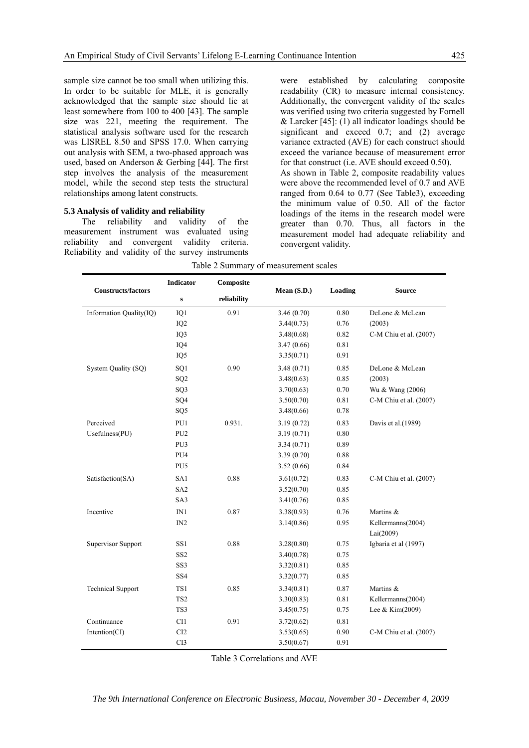sample size cannot be too small when utilizing this. In order to be suitable for MLE, it is generally acknowledged that the sample size should lie at least somewhere from 100 to 400 [43]. The sample size was 221, meeting the requirement. The statistical analysis software used for the research was LISREL 8.50 and SPSS 17.0. When carrying out analysis with SEM, a two-phased approach was used, based on Anderson & Gerbing [44]. The first step involves the analysis of the measurement model, while the second step tests the structural relationships among latent constructs.

#### **5.3 Analysis of validity and reliability**

The reliability and validity of the measurement instrument was evaluated using reliability and convergent validity criteria. Reliability and validity of the survey instruments were established by calculating composite readability (CR) to measure internal consistency. Additionally, the convergent validity of the scales was verified using two criteria suggested by Fornell & Larcker  $[45]$ : (1) all indicator loadings should be significant and exceed 0.7; and (2) average variance extracted (AVE) for each construct should exceed the variance because of measurement error for that construct (i.e. AVE should exceed 0.50). As shown in Table 2, composite readability values were above the recommended level of 0.7 and AVE ranged from 0.64 to 0.77 (See Table3), exceeding the minimum value of 0.50. All of the factor loadings of the items in the research model were greater than 0.70. Thus, all factors in the measurement model had adequate reliability and convergent validity.

| <b>Constructs/factors</b> | <b>Indicator</b> | Composite   |             |         | <b>Source</b>                  |  |
|---------------------------|------------------|-------------|-------------|---------|--------------------------------|--|
|                           | ${\bf S}$        | reliability | Mean (S.D.) | Loading |                                |  |
| Information Quality(IQ)   | IQ1              | 0.91        | 3.46(0.70)  | 0.80    | DeLone & McLean                |  |
|                           | IQ <sub>2</sub>  |             | 3.44(0.73)  | 0.76    | (2003)                         |  |
|                           | IQ3              |             | 3.48(0.68)  | 0.82    | C-M Chiu et al. (2007)         |  |
|                           | IQ4              |             | 3.47(0.66)  | 0.81    |                                |  |
|                           | IQ <sub>5</sub>  |             | 3.35(0.71)  | 0.91    |                                |  |
| System Quality (SQ)       | SQ1              | 0.90        | 3.48(0.71)  | 0.85    | DeLone & McLean                |  |
|                           | SQ <sub>2</sub>  |             | 3.48(0.63)  | 0.85    | (2003)                         |  |
|                           | SQ3              |             | 3.70(0.63)  | 0.70    | Wu & Wang (2006)               |  |
|                           | SQ4              |             | 3.50(0.70)  | 0.81    | C-M Chiu et al. (2007)         |  |
|                           | SQ <sub>5</sub>  |             | 3.48(0.66)  | 0.78    |                                |  |
| Perceived                 | PU1              | 0.931.      | 3.19(0.72)  | 0.83    | Davis et al.(1989)             |  |
| Usefulness(PU)            | PU <sub>2</sub>  |             | 3.19(0.71)  | 0.80    |                                |  |
|                           | PU3              |             | 3.34(0.71)  | 0.89    |                                |  |
|                           | PU <sub>4</sub>  |             | 3.39(0.70)  | 0.88    |                                |  |
|                           | PU <sub>5</sub>  |             | 3.52(0.66)  | 0.84    |                                |  |
| Satisfaction(SA)          | SA1              | 0.88        | 3.61(0.72)  | 0.83    | C-M Chiu et al. (2007)         |  |
|                           | SA <sub>2</sub>  |             | 3.52(0.70)  | 0.85    |                                |  |
|                           | SA3              |             | 3.41(0.76)  | 0.85    |                                |  |
| Incentive                 | IN1              | 0.87        | 3.38(0.93)  | 0.76    | Martins &                      |  |
|                           | IN2              |             | 3.14(0.86)  | 0.95    | Kellermanns(2004)<br>Lai(2009) |  |
| <b>Supervisor Support</b> | SS1              | 0.88        | 3.28(0.80)  | 0.75    | Igbaria et al (1997)           |  |
|                           | SS <sub>2</sub>  |             | 3.40(0.78)  | 0.75    |                                |  |
|                           | SS <sub>3</sub>  |             | 3.32(0.81)  | 0.85    |                                |  |
|                           | SS <sub>4</sub>  |             | 3.32(0.77)  | 0.85    |                                |  |
| <b>Technical Support</b>  | TS1              | 0.85        | 3.34(0.81)  | 0.87    | Martins &                      |  |
|                           | TS <sub>2</sub>  |             | 3.30(0.83)  | 0.81    | Kellermanns(2004)              |  |
|                           | TS3              |             | 3.45(0.75)  | 0.75    | Lee & Kim(2009)                |  |
| Continuance               | CI1              | 0.91        | 3.72(0.62)  | 0.81    |                                |  |
| Intention(CI)             | CI2              |             | 3.53(0.65)  | 0.90    | C-M Chiu et al. (2007)         |  |
|                           | CI3              |             | 3.50(0.67)  | 0.91    |                                |  |

Table 2 Summary of measurement scales

Table 3 Correlations and AVE

*The 9th International Conference on Electronic Business, Macau, November 30 - December 4, 2009*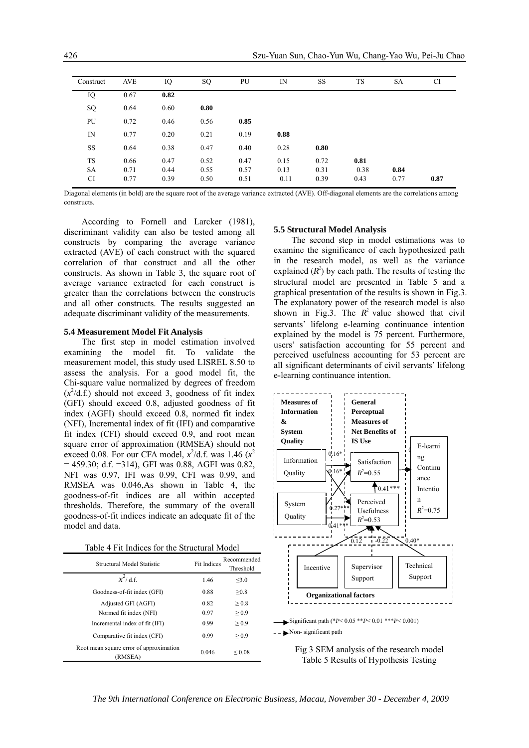| Construct | <b>AVE</b> | IQ   | SQ   | PU   | IN   | <b>SS</b> | <b>TS</b> | SA   | <b>CI</b> |
|-----------|------------|------|------|------|------|-----------|-----------|------|-----------|
| IQ        | 0.67       | 0.82 |      |      |      |           |           |      |           |
| SQ        | 0.64       | 0.60 | 0.80 |      |      |           |           |      |           |
| PU        | 0.72       | 0.46 | 0.56 | 0.85 |      |           |           |      |           |
| IN        | 0.77       | 0.20 | 0.21 | 0.19 | 0.88 |           |           |      |           |
| SS        | 0.64       | 0.38 | 0.47 | 0.40 | 0.28 | 0.80      |           |      |           |
| TS        | 0.66       | 0.47 | 0.52 | 0.47 | 0.15 | 0.72      | 0.81      |      |           |
| <b>SA</b> | 0.71       | 0.44 | 0.55 | 0.57 | 0.13 | 0.31      | 0.38      | 0.84 |           |
| CI        | 0.77       | 0.39 | 0.50 | 0.51 | 0.11 | 0.39      | 0.43      | 0.77 | 0.87      |

Diagonal elements (in bold) are the square root of the average variance extracted (AVE). Off-diagonal elements are the correlations among constructs.

According to Fornell and Larcker (1981), discriminant validity can also be tested among all constructs by comparing the average variance extracted (AVE) of each construct with the squared correlation of that construct and all the other constructs. As shown in Table 3, the square root of average variance extracted for each construct is greater than the correlations between the constructs and all other constructs. The results suggested an adequate discriminant validity of the measurements.

## **5.4 Measurement Model Fit Analysis**

The first step in model estimation involved examining the model fit. To validate the measurement model, this study used LISREL 8.50 to assess the analysis. For a good model fit, the Chi-square value normalized by degrees of freedom  $(x^2/d.f.)$  should not exceed 3, goodness of fit index (GFI) should exceed 0.8, adjusted goodness of fit index (AGFI) should exceed 0.8, normed fit index (NFI), Incremental index of fit (IFI) and comparative fit index (CFI) should exceed 0.9, and root mean square error of approximation (RMSEA) should not exceed 0.08. For our CFA model,  $x^2$ /d.f. was 1.46 ( $x^2$  $= 459.30$ ; d.f.  $= 314$ ), GFI was 0.88, AGFI was 0.82, NFI was 0.97, IFI was 0.99, CFI was 0.99, and RMSEA was 0.046,As shown in Table 4, the goodness-of-fit indices are all within accepted thresholds. Therefore, the summary of the overall goodness-of-fit indices indicate an adequate fit of the model and data.

| Table 4 Fit Indices for the Structural Model |  |
|----------------------------------------------|--|
|----------------------------------------------|--|

| <b>Structural Model Statistic</b>                  | <b>Fit Indices</b> | Recommended<br>Threshold |  |
|----------------------------------------------------|--------------------|--------------------------|--|
| $x^2$ d.f.                                         | 1.46               | <3.0                     |  |
| Goodness-of-fit index (GFI)                        | 0.88               | >0.8                     |  |
| Adjusted GFI (AGFI)                                | 0.82               | > 0.8                    |  |
| Normed fit index (NFI)                             | 0.97               | > 0.9                    |  |
| Incremental index of fit (IFI)                     | 0.99               | > 0.9                    |  |
| Comparative fit index (CFI)                        | 0.99               | > 0.9                    |  |
| Root mean square error of approximation<br>(RMSEA) | 0.046              | ${}^{<}$ 0.08            |  |

## **5.5 Structural Model Analysis**

The second step in model estimations was to examine the significance of each hypothesized path in the research model, as well as the variance explained  $(R^2)$  by each path. The results of testing the structural model are presented in Table 5 and a graphical presentation of the results is shown in Fig.3. The explanatory power of the research model is also shown in Fig.3. The  $R^2$  value showed that civil servants' lifelong e-learning continuance intention explained by the model is 75 percent. Furthermore, users' satisfaction accounting for 55 percent and perceived usefulness accounting for 53 percent are all significant determinants of civil servants' lifelong e-learning continuance intention.





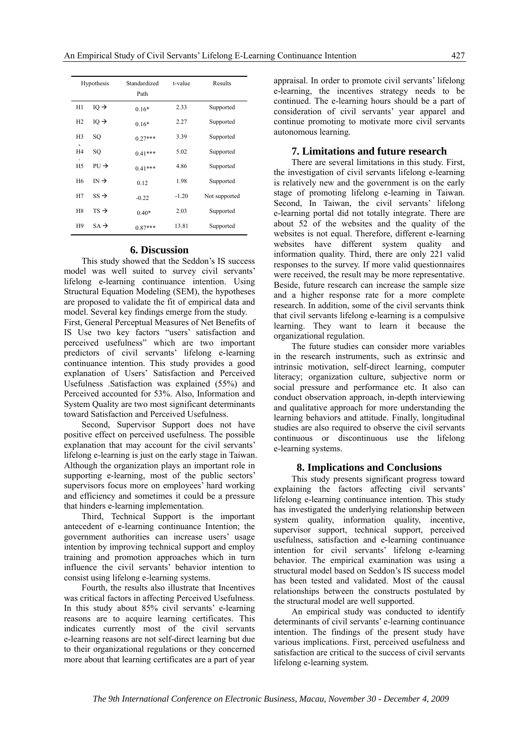|                | Standardized<br>Hypothesis<br>Path |           | t-value | Results       |
|----------------|------------------------------------|-----------|---------|---------------|
| H1             | $IQ \rightarrow$                   | $0.16*$   | 2.33    | Supported     |
| H2             | $IQ \rightarrow$                   | $0.16*$   | 2.27    | Supported     |
| H <sub>3</sub> | SQ                                 | $0.27***$ | 3.39    | Supported     |
| H <sub>4</sub> | SQ                                 | $0.41***$ | 5.02    | Supported     |
| H <sub>5</sub> | $PU \rightarrow$                   | $0.41***$ | 4.86    | Supported     |
| H <sub>6</sub> | $IN \rightarrow$                   | 0.12      | 1.98    | Supported     |
| H7             | $SS \rightarrow$                   | $-0.22$   | $-1.20$ | Not supported |
| H <sub>8</sub> | $TS \rightarrow$                   | $0.40*$   | 2.03    | Supported     |
| H9             | $SA \rightarrow$                   | $0.87***$ | 13.81   | Supported     |

## **6. Discussion**

This study showed that the Seddon's IS success model was well suited to survey civil servants' lifelong e-learning continuance intention. Using Structural Equation Modeling (SEM), the hypotheses are proposed to validate the fit of empirical data and model. Several key findings emerge from the study.

First, General Perceptual Measures of Net Benefits of IS Use two key factors "users' satisfaction and perceived usefulness" which are two important predictors of civil servants' lifelong e-learning continuance intention. This study provides a good explanation of Users' Satisfaction and Perceived Usefulness .Satisfaction was explained (55%) and Perceived accounted for 53%. Also, Information and System Quality are two most significant determinants toward Satisfaction and Perceived Usefulness.

Second, Supervisor Support does not have positive effect on perceived usefulness. The possible explanation that may account for the civil servants' lifelong e-learning is just on the early stage in Taiwan. Although the organization plays an important role in supporting e-learning, most of the public sectors' supervisors focus more on employees' hard working and efficiency and sometimes it could be a pressure that hinders e-learning implementation.

Third, Technical Support is the important antecedent of e-learning continuance Intention; the government authorities can increase users' usage intention by improving technical support and employ training and promotion approaches which in turn influence the civil servants' behavior intention to consist using lifelong e-learning systems.

Fourth, the results also illustrate that Incentives was critical factors in affecting Perceived Usefulness. In this study about 85% civil servants' e-learning reasons are to acquire learning certificates. This indicates currently most of the civil servants e-learning reasons are not self-direct learning but due to their organizational regulations or they concerned more about that learning certificates are a part of year

appraisal. In order to promote civil servants' lifelong e-learning, the incentives strategy needs to be continued. The e-learning hours should be a part of consideration of civil servants' year apparel and continue promoting to motivate more civil servants autonomous learning.

## **7. Limitations and future research**

There are several limitations in this study. First, the investigation of civil servants lifelong e-learning is relatively new and the government is on the early stage of promoting lifelong e-learning in Taiwan. Second, In Taiwan, the civil servants' lifelong e-learning portal did not totally integrate. There are about 52 of the websites and the quality of the websites is not equal. Therefore, different e-learning websites have different system quality and information quality. Third, there are only 221 valid responses to the survey. If more valid questionnaires were received, the result may be more representative. Beside, future research can increase the sample size and a higher response rate for a more complete research. In addition, some of the civil servants think that civil servants lifelong e-learning is a compulsive learning. They want to learn it because the organizational regulation.

The future studies can consider more variables in the research instruments, such as extrinsic and intrinsic motivation, self-direct learning, computer literacy; organization culture, subjective norm or social pressure and performance etc. It also can conduct observation approach, in-depth interviewing and qualitative approach for more understanding the learning behaviors and attitude. Finally, longitudinal studies are also required to observe the civil servants continuous or discontinuous use the lifelong e-learning systems.

## **8. Implications and Conclusions**

This study presents significant progress toward explaining the factors affecting civil servants' lifelong e-learning continuance intention. This study has investigated the underlying relationship between system quality, information quality, incentive, supervisor support, technical support, perceived usefulness, satisfaction and e-learning continuance intention for civil servants' lifelong e-learning behavior. The empirical examination was using a structural model based on Seddon's IS success model has been tested and validated. Most of the causal relationships between the constructs postulated by the structural model are well supported.

An empirical study was conducted to identify determinants of civil servants' e-learning continuance intention. The findings of the present study have various implications. First, perceived usefulness and satisfaction are critical to the success of civil servants lifelong e-learning system.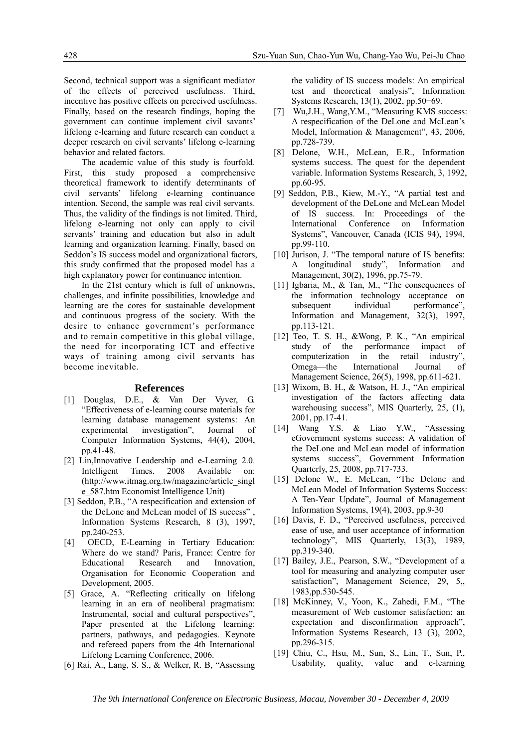Second, technical support was a significant mediator of the effects of perceived usefulness. Third, incentive has positive effects on perceived usefulness. Finally, based on the research findings, hoping the government can continue implement civil savants' lifelong e-learning and future research can conduct a deeper research on civil servants' lifelong e-learning behavior and related factors.

The academic value of this study is fourfold. First, this study proposed a comprehensive theoretical framework to identify determinants of civil servants' lifelong e-learning continuance intention. Second, the sample was real civil servants. Thus, the validity of the findings is not limited. Third, lifelong e-learning not only can apply to civil servants' training and education but also in adult learning and organization learning. Finally, based on Seddon's IS success model and organizational factors, this study confirmed that the proposed model has a high explanatory power for continuance intention.

In the 21st century which is full of unknowns, challenges, and infinite possibilities, knowledge and learning are the cores for sustainable development and continuous progress of the society. With the desire to enhance government's performance and to remain competitive in this global village, the need for incorporating ICT and effective ways of training among civil servants has become inevitable.

#### **References**

- [1] Douglas, D.E., & Van Der Vyver, G. "Effectiveness of e-learning course materials for learning database management systems: An experimental investigation", Journal of Computer Information Systems, 44(4), 2004, pp.41-48.
- [2] Lin, Innovative Leadership and e-Learning 2.0. Intelligent Times. 2008 Available on: (http://www.itmag.org.tw/magazine/article\_singl e\_587.htm Economist Intelligence Unit)
- [3] Seddon, P.B., "A respecification and extension of the DeLone and McLean model of IS success" , Information Systems Research, 8 (3), 1997, pp.240-253.
- [4] OECD, E-Learning in Tertiary Education: Where do we stand? Paris, France: Centre for Educational Research and Innovation, Organisation for Economic Cooperation and Development, 2005.
- [5] Grace, A. "Reflecting critically on lifelong learning in an era of neoliberal pragmatism: Instrumental, social and cultural perspectives", Paper presented at the Lifelong learning: partners, pathways, and pedagogies. Keynote and refereed papers from the 4th International Lifelong Learning Conference, 2006.
- [6] Rai, A., Lang, S. S., & Welker, R. B, "Assessing

the validity of IS success models: An empirical test and theoretical analysis", Information Systems Research, 13(1), 2002, pp.50−69.

- [7] Wu,J.H., Wang,Y.M., "Measuring KMS success: A respecification of the DeLone and McLean's Model, Information & Management", 43, 2006, pp.728-739.
- [8] Delone, W.H., McLean, E.R., Information systems success. The quest for the dependent variable. Information Systems Research, 3, 1992, pp.60-95.
- [9] Seddon, P.B., Kiew, M.-Y., "A partial test and development of the DeLone and McLean Model of IS success. In: Proceedings of the International Conference on Information Systems", Vancouver, Canada (ICIS 94), 1994, pp.99-110.
- [10] Jurison, J. "The temporal nature of IS benefits: A longitudinal study", Information and Management, 30(2), 1996, pp.75-79.
- [11] Igbaria, M., & Tan, M., "The consequences of the information technology acceptance on subsequent individual performance", Information and Management, 32(3), 1997, pp.113-121.
- [12] Teo, T. S. H., &Wong, P. K., "An empirical study of the performance impact of computerization in the retail industry", Omega—the International Journal of Management Science, 26(5), 1998, pp.611-621.
- [13] Wixom, B. H., & Watson, H. J., "An empirical investigation of the factors affecting data warehousing success", MIS Quarterly, 25, (1), 2001, pp.17-41.
- [14] Wang Y.S. & Liao Y.W., "Assessing eGovernment systems success: A validation of the DeLone and McLean model of information systems success", Government Information Quarterly, 25, 2008, pp.717-733.
- [15] Delone W., E. McLean, "The Delone and McLean Model of Information Systems Success: A Ten-Year Update", Journal of Management Information Systems, 19(4), 2003, pp.9-30
- [16] Davis, F. D., "Perceived usefulness, perceived ease of use, and user acceptance of information technology", MIS Quarterly, 13(3), 1989, pp.319-340.
- [17] Bailey, J.E., Pearson, S.W., "Development of a tool for measuring and analyzing computer user satisfaction", Management Science, 29, 5, 1983,pp.530-545.
- [18] McKinney, V., Yoon, K., Zahedi, F.M., "The measurement of Web customer satisfaction: an expectation and disconfirmation approach", Information Systems Research, 13 (3), 2002, pp.296-315.
- [19] Chiu, C., Hsu, M., Sun, S., Lin, T., Sun, P., Usability, quality, value and e-learning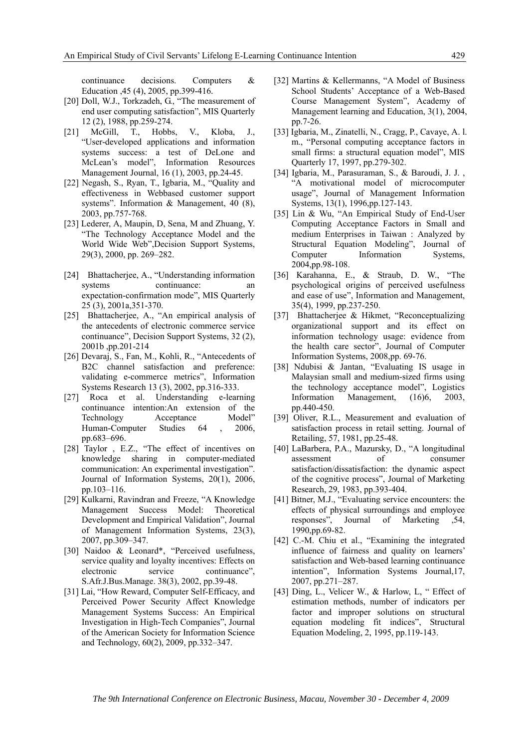continuance decisions. Computers & Education ,45 (4), 2005, pp.399-416.

- [20] Doll, W.J., Torkzadeh, G., "The measurement of end user computing satisfaction", MIS Quarterly 12 (2), 1988, pp.259-274.
- [21] McGill, T., Hobbs, V., Kloba, J., "User-developed applications and information systems success: a test of DeLone and McLean's model", Information Resources Management Journal, 16 (1), 2003, pp.24-45.
- [22] Negash, S., Ryan, T., Igbaria, M., "Quality and effectiveness in Webbased customer support systems". Information & Management, 40 (8), 2003, pp.757-768.
- [23] Lederer, A, Maupin, D, Sena, M and Zhuang, Y. "The Technology Acceptance Model and the World Wide Web",Decision Support Systems, 29(3), 2000, pp. 269–282.
- [24] Bhattacherjee, A., "Understanding information systems continuance: an expectation-confirmation mode", MIS Quarterly 25 (3), 2001a,351-370.
- [25] Bhattacherjee, A., "An empirical analysis of the antecedents of electronic commerce service continuance", Decision Support Systems, 32 (2), 2001b ,pp.201-214
- [26] Devaraj, S., Fan, M., Kohli, R., "Antecedents of B2C channel satisfaction and preference: validating e-commerce metrics", Information Systems Research 13 (3), 2002, pp.316-333.
- [27] Roca et al. Understanding e-learning continuance intention:An extension of the Technology Acceptance Model" Human-Computer Studies 64 , 2006, pp.683–696.
- [28] Taylor , E.Z., "The effect of incentives on knowledge sharing in computer-mediated communication: An experimental investigation". Journal of Information Systems, 20(1), 2006, pp.103–116.
- [29] Kulkarni, Ravindran and Freeze, "A Knowledge Management Success Model: Theoretical Development and Empirical Validation", Journal of Management Information Systems, 23(3), 2007, pp.309–347.
- [30] Naidoo & Leonard\*, "Perceived usefulness, service quality and loyalty incentives: Effects on electronic service continuance". S.Afr.J.Bus.Manage. 38(3), 2002, pp.39-48.
- [31] Lai, "How Reward, Computer Self-Efficacy, and Perceived Power Security Affect Knowledge Management Systems Success: An Empirical Investigation in High-Tech Companies", Journal of the American Society for Information Science and Technology, 60(2), 2009, pp.332–347.
- [32] Martins & Kellermanns, "A Model of Business School Students' Acceptance of a Web-Based Course Management System", Academy of Management learning and Education, 3(1), 2004, pp.7-26.
- [33] Igbaria, M., Zinatelli, N., Cragg, P., Cavaye, A. l. m., "Personal computing acceptance factors in small firms: a structural equation model", MIS Quarterly 17, 1997, pp.279-302.
- [34] Igbaria, M., Parasuraman, S., & Baroudi, J. J. , "A motivational model of microcomputer usage", Journal of Management Information Systems, 13(1), 1996,pp.127-143.
- [35] Lin & Wu, "An Empirical Study of End-User Computing Acceptance Factors in Small and medium Enterprises in Taiwan : Analyzed by Structural Equation Modeling", Journal of Computer Information Systems. 2004,pp.98-108.
- [36] Karahanna, E., & Straub, D. W., "The psychological origins of perceived usefulness and ease of use", Information and Management, 35(4), 1999, pp.237-250.
- [37] Bhattacherjee & Hikmet, "Reconceptualizing organizational support and its effect on information technology usage: evidence from the health care sector", Journal of Computer Information Systems, 2008,pp. 69-76.
- [38] Ndubisi & Jantan, "Evaluating IS usage in Malaysian small and medium-sized firms using the technology acceptance model", Logistics Information Management, (16)6, 2003, pp.440-450.
- [39] Oliver, R.L., Measurement and evaluation of satisfaction process in retail setting. Journal of Retailing, 57, 1981, pp.25-48.
- [40] LaBarbera, P.A., Mazursky, D., "A longitudinal assessment of consumer satisfaction/dissatisfaction: the dynamic aspect of the cognitive process", Journal of Marketing Research, 29, 1983, pp.393-404.
- [41] Bitner, M.J., "Evaluating service encounters: the effects of physical surroundings and employee responses", Journal of Marketing ,54, 1990,pp.69-82.
- [42] C.-M. Chiu et al., "Examining the integrated influence of fairness and quality on learners' satisfaction and Web-based learning continuance intention", Information Systems Journal,17, 2007, pp.271–287.
- [43] Ding, L., Velicer W., & Harlow, L, " Effect of estimation methods, number of indicators per factor and improper solutions on structural equation modeling fit indices", Structural Equation Modeling, 2, 1995, pp.119-143.